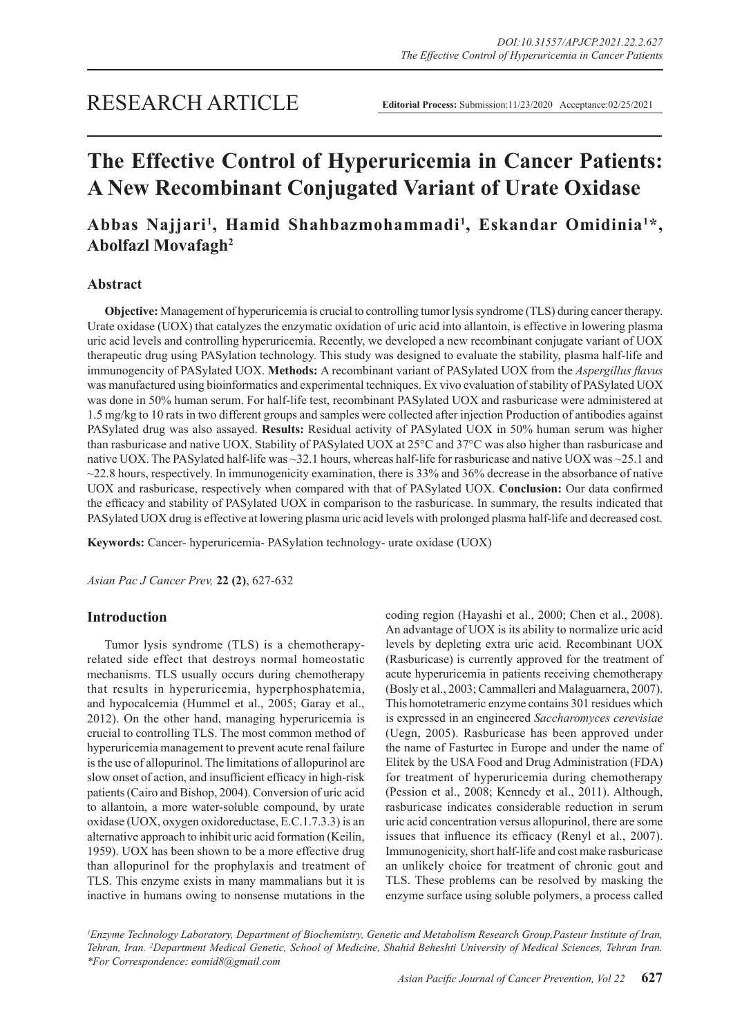# **The Effective Control of Hyperuricemia in Cancer Patients: A New Recombinant Conjugated Variant of Urate Oxidase**

## Abbas Najjari<sup>1</sup>, Hamid Shahbazmohammadi<sup>1</sup>, Eskandar Omidinia<sup>1\*</sup>, **Abolfazl Movafagh2**

## **Abstract**

**Objective:** Management of hyperuricemia is crucial to controlling tumor lysis syndrome (TLS) during cancer therapy. Urate oxidase (UOX) that catalyzes the enzymatic oxidation of uric acid into allantoin, is effective in lowering plasma uric acid levels and controlling hyperuricemia. Recently, we developed a new recombinant conjugate variant of UOX therapeutic drug using PASylation technology. This study was designed to evaluate the stability, plasma half-life and immunogencity of PASylated UOX. **Methods:** A recombinant variant of PASylated UOX from the *Aspergillus flavus*  was manufactured using bioinformatics and experimental techniques. Ex vivo evaluation of stability of PASylated UOX was done in 50% human serum. For half-life test, recombinant PASylated UOX and rasburicase were administered at 1.5 mg/kg to 10 rats in two different groups and samples were collected after injection Production of antibodies against PASylated drug was also assayed. **Results:** Residual activity of PASylated UOX in 50% human serum was higher than rasburicase and native UOX. Stability of PASylated UOX at 25°C and 37°C was also higher than rasburicase and native UOX. The PASylated half-life was ~32.1 hours, whereas half-life for rasburicase and native UOX was ~25.1 and  $\sim$ 22.8 hours, respectively. In immunogenicity examination, there is 33% and 36% decrease in the absorbance of native UOX and rasburicase, respectively when compared with that of PASylated UOX. **Conclusion:** Our data confirmed the efficacy and stability of PASylated UOX in comparison to the rasburicase. In summary, the results indicated that PASylated UOX drug is effective at lowering plasma uric acid levels with prolonged plasma half-life and decreased cost.

**Keywords:** Cancer- hyperuricemia- PASylation technology- urate oxidase (UOX)

*Asian Pac J Cancer Prev,* **22 (2)**, 627-632

## **Introduction**

Tumor lysis syndrome (TLS) is a chemotherapyrelated side effect that destroys normal homeostatic mechanisms. TLS usually occurs during chemotherapy that results in hyperuricemia, hyperphosphatemia, and hypocalcemia (Hummel et al., 2005; Garay et al., 2012). On the other hand, managing hyperuricemia is crucial to controlling TLS. The most common method of hyperuricemia management to prevent acute renal failure is the use of allopurinol. The limitations of allopurinol are slow onset of action, and insufficient efficacy in high-risk patients (Cairo and Bishop, 2004). Conversion of uric acid to allantoin, a more water-soluble compound, by urate oxidase (UOX, oxygen oxidoreductase, E.C.1.7.3.3) is an alternative approach to inhibit uric acid formation (Keilin, 1959). UOX has been shown to be a more effective drug than allopurinol for the prophylaxis and treatment of TLS. This enzyme exists in many mammalians but it is inactive in humans owing to nonsense mutations in the coding region (Hayashi et al., 2000; Chen et al., 2008). An advantage of UOX is its ability to normalize uric acid levels by depleting extra uric acid. Recombinant UOX (Rasburicase) is currently approved for the treatment of acute hyperuricemia in patients receiving chemotherapy (Bosly et al., 2003; Cammalleri and Malaguarnera, 2007). This homotetrameric enzyme contains 301 residues which is expressed in an engineered *Saccharomyces cerevisiae*  (Uegn, 2005). Rasburicase has been approved under the name of Fasturtec in Europe and under the name of Elitek by the USA Food and Drug Administration (FDA) for treatment of hyperuricemia during chemotherapy (Pession et al., 2008; Kennedy et al., 2011). Although, rasburicase indicates considerable reduction in serum uric acid concentration versus allopurinol, there are some issues that influence its efficacy (Renyl et al., 2007). Immunogenicity, short half-life and cost make rasburicase an unlikely choice for treatment of chronic gout and TLS. These problems can be resolved by masking the enzyme surface using soluble polymers, a process called

*1 Enzyme Technology Laboratory, Department of Biochemistry, Genetic and Metabolism Research Group,Pasteur Institute of Iran, Tehran, Iran. 2 Department Medical Genetic, School of Medicine, Shahid Beheshti University of Medical Sciences, Tehran Iran. \*For Correspondence: eomid8@gmail.com*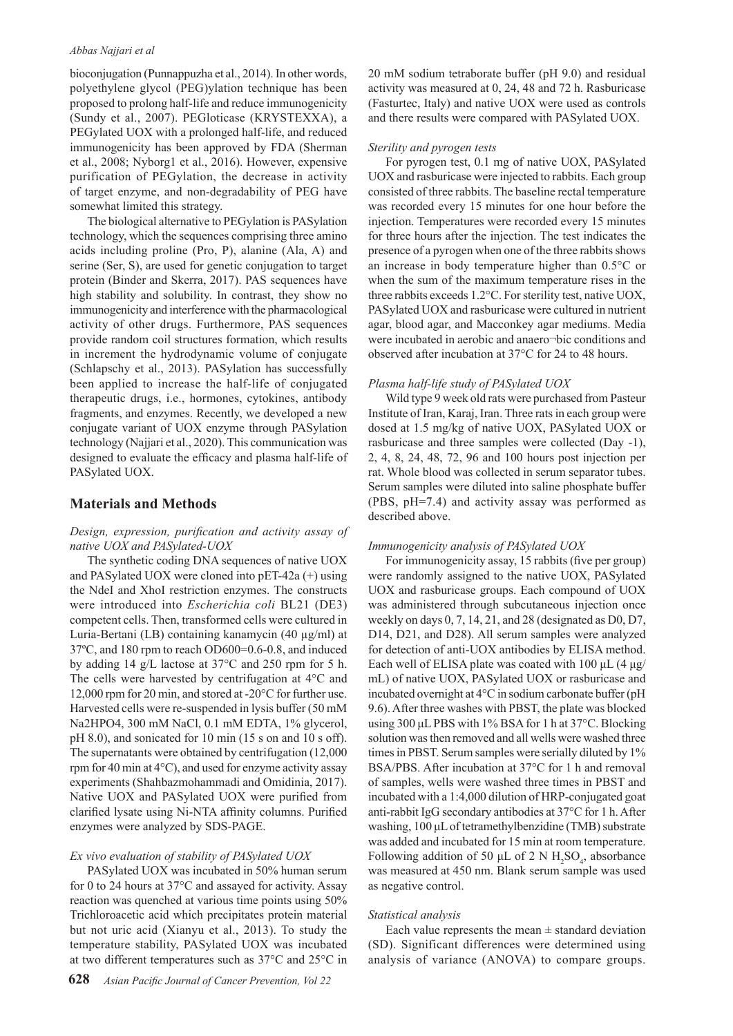#### *Abbas Najjari et al*

bioconjugation (Punnappuzha et al., 2014). In other words, polyethylene glycol (PEG)ylation technique has been proposed to prolong half-life and reduce immunogenicity (Sundy et al., 2007). PEGloticase (KRYSTEXXA), a PEGylated UOX with a prolonged half-life, and reduced immunogenicity has been approved by FDA (Sherman et al., 2008; Nyborg1 et al., 2016). However, expensive purification of PEGylation, the decrease in activity of target enzyme, and non-degradability of PEG have somewhat limited this strategy.

The biological alternative to PEGylation is PASylation technology, which the sequences comprising three amino acids including proline (Pro, P), alanine (Ala, A) and serine (Ser, S), are used for genetic conjugation to target protein (Binder and Skerra, 2017). PAS sequences have high stability and solubility. In contrast, they show no immunogenicity and interference with the pharmacological activity of other drugs. Furthermore, PAS sequences provide random coil structures formation, which results in increment the hydrodynamic volume of conjugate (Schlapschy et al., 2013). PASylation has successfully been applied to increase the half-life of conjugated therapeutic drugs, i.e., hormones, cytokines, antibody fragments, and enzymes. Recently, we developed a new conjugate variant of UOX enzyme through PASylation technology (Najjari et al., 2020). This communication was designed to evaluate the efficacy and plasma half-life of PASylated UOX.

## **Materials and Methods**

## *Design, expression, purification and activity assay of native UOX and PASylated-UOX*

The synthetic coding DNA sequences of native UOX and PASylated UOX were cloned into pET-42a (+) using the NdeI and XhoI restriction enzymes. The constructs were introduced into *Escherichia coli* BL21 (DE3) competent cells. Then, transformed cells were cultured in Luria-Bertani (LB) containing kanamycin (40 µg/ml) at 37ºC, and 180 rpm to reach OD600=0.6-0.8, and induced by adding 14 g/L lactose at 37°C and 250 rpm for 5 h. The cells were harvested by centrifugation at 4°C and 12,000 rpm for 20 min, and stored at -20°C for further use. Harvested cells were re-suspended in lysis buffer (50 mM Na2HPO4, 300 mM NaCl, 0.1 mM EDTA, 1% glycerol, pH 8.0), and sonicated for 10 min (15 s on and 10 s off). The supernatants were obtained by centrifugation (12,000 rpm for 40 min at 4°C), and used for enzyme activity assay experiments (Shahbazmohammadi and Omidinia, 2017). Native UOX and PASylated UOX were purified from clarified lysate using Ni-NTA affinity columns. Purified enzymes were analyzed by SDS-PAGE.

#### *Ex vivo evaluation of stability of PASylated UOX*

PASylated UOX was incubated in 50% human serum for 0 to 24 hours at 37°C and assayed for activity. Assay reaction was quenched at various time points using 50% Trichloroacetic acid which precipitates protein material but not uric acid (Xianyu et al., 2013). To study the temperature stability, PASylated UOX was incubated at two different temperatures such as 37°C and 25°C in

20 mM sodium tetraborate buffer (pH 9.0) and residual activity was measured at 0, 24, 48 and 72 h. Rasburicase (Fasturtec, Italy) and native UOX were used as controls and there results were compared with PASylated UOX.

#### *Sterility and pyrogen tests*

For pyrogen test, 0.1 mg of native UOX, PASylated UOX and rasburicase were injected to rabbits. Each group consisted of three rabbits. The baseline rectal temperature was recorded every 15 minutes for one hour before the injection. Temperatures were recorded every 15 minutes for three hours after the injection. The test indicates the presence of a pyrogen when one of the three rabbits shows an increase in body temperature higher than 0.5°C or when the sum of the maximum temperature rises in the three rabbits exceeds 1.2°C. For sterility test, native UOX, PASylated UOX and rasburicase were cultured in nutrient agar, blood agar, and Macconkey agar mediums. Media were incubated in aerobic and anaero-bic conditions and observed after incubation at 37°C for 24 to 48 hours.

#### *Plasma half-life study of PASylated UOX*

Wild type 9 week old rats were purchased from Pasteur Institute of Iran, Karaj, Iran. Three rats in each group were dosed at 1.5 mg/kg of native UOX, PASylated UOX or rasburicase and three samples were collected (Day -1), 2, 4, 8, 24, 48, 72, 96 and 100 hours post injection per rat. Whole blood was collected in serum separator tubes. Serum samples were diluted into saline phosphate buffer (PBS, pH=7.4) and activity assay was performed as described above.

#### *Immunogenicity analysis of PASylated UOX*

For immunogenicity assay, 15 rabbits (five per group) were randomly assigned to the native UOX, PASylated UOX and rasburicase groups. Each compound of UOX was administered through subcutaneous injection once weekly on days 0, 7, 14, 21, and 28 (designated as D0, D7, D14, D21, and D28). All serum samples were analyzed for detection of anti-UOX antibodies by ELISA method. Each well of ELISA plate was coated with 100 μL (4 μg/ mL) of native UOX, PASylated UOX or rasburicase and incubated overnight at 4°C in sodium carbonate buffer (pH 9.6). After three washes with PBST, the plate was blocked using 300 μL PBS with 1% BSA for 1 h at 37°C. Blocking solution was then removed and all wells were washed three times in PBST. Serum samples were serially diluted by 1% BSA/PBS. After incubation at 37°C for 1 h and removal of samples, wells were washed three times in PBST and incubated with a 1:4,000 dilution of HRP-conjugated goat anti-rabbit IgG secondary antibodies at 37°C for 1 h. After washing, 100 μL of tetramethylbenzidine (TMB) substrate was added and incubated for 15 min at room temperature. Following addition of 50  $\mu$ L of 2 N H<sub>2</sub>SO<sub>4</sub>, absorbance was measured at 450 nm. Blank serum sample was used as negative control.

#### *Statistical analysis*

Each value represents the mean  $\pm$  standard deviation (SD). Significant differences were determined using analysis of variance (ANOVA) to compare groups.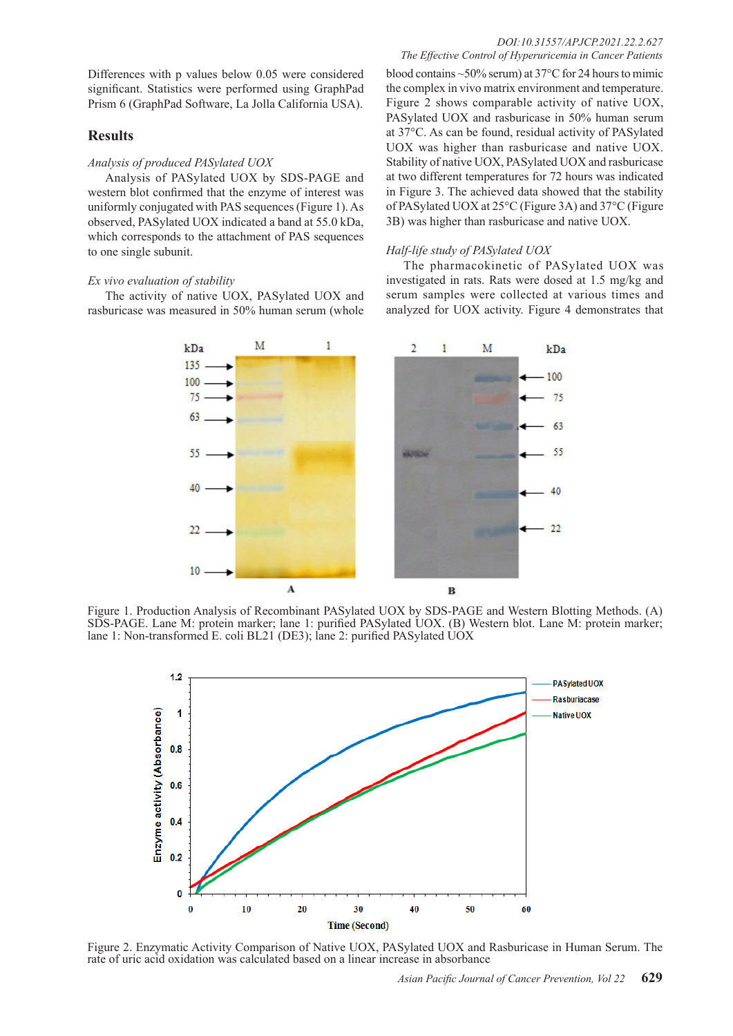Differences with p values below 0.05 were considered significant. Statistics were performed using GraphPad Prism 6 (GraphPad Software, La Jolla California USA).

## **Results**

#### *Analysis of produced PASylated UOX*

Analysis of PASylated UOX by SDS-PAGE and western blot confirmed that the enzyme of interest was uniformly conjugated with PAS sequences (Figure 1). As observed, PASylated UOX indicated a band at 55.0 kDa, which corresponds to the attachment of PAS sequences to one single subunit.

#### *Ex vivo evaluation of stability*

The activity of native UOX, PASylated UOX and rasburicase was measured in 50% human serum (whole blood contains ~50% serum) at 37°C for 24 hours to mimic the complex in vivo matrix environment and temperature. Figure 2 shows comparable activity of native UOX, PASylated UOX and rasburicase in 50% human serum at 37°C. As can be found, residual activity of PASylated UOX was higher than rasburicase and native UOX. Stability of native UOX, PASylated UOX and rasburicase at two different temperatures for 72 hours was indicated in Figure 3. The achieved data showed that the stability of PASylated UOX at 25°C (Figure 3A) and 37°C (Figure 3B) was higher than rasburicase and native UOX.

#### *Half-life study of PASylated UOX*

The pharmacokinetic of PASylated UOX was investigated in rats. Rats were dosed at 1.5 mg/kg and serum samples were collected at various times and analyzed for UOX activity. Figure 4 demonstrates that



Figure 1. Production Analysis of Recombinant PASylated UOX by SDS-PAGE and Western Blotting Methods. (A) SDS-PAGE. Lane M: protein marker; lane 1: purified PASylated UOX. (B) Western blot. Lane M: protein marker; lane 1: Non-transformed E. coli BL21 (DE3); lane 2: purified PASylated UOX



Figure 2. Enzymatic Activity Comparison of Native UOX, PASylated UOX and Rasburicase in Human Serum. The rate of uric acid oxidation was calculated based on a linear increase in absorbance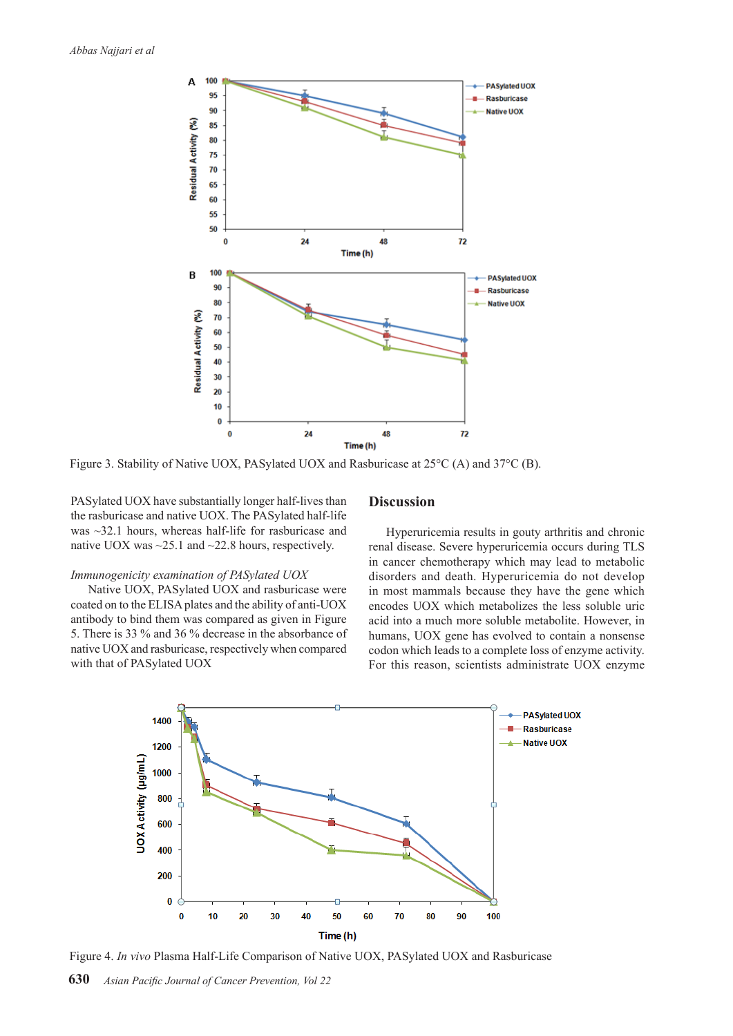

Figure 3. Stability of Native UOX, PASylated UOX and Rasburicase at 25°C (A) and 37°C (B).

PASylated UOX have substantially longer half-lives than the rasburicase and native UOX. The PASylated half-life was ~32.1 hours, whereas half-life for rasburicase and native UOX was ~25.1 and ~22.8 hours, respectively.

#### *Immunogenicity examination of PASylated UOX*

Native UOX, PASylated UOX and rasburicase were coated on to the ELISA plates and the ability of anti-UOX antibody to bind them was compared as given in Figure 5. There is 33 % and 36 % decrease in the absorbance of native UOX and rasburicase, respectively when compared with that of PASylated UOX

## **Discussion**

Hyperuricemia results in gouty arthritis and chronic renal disease. Severe hyperuricemia occurs during TLS in cancer chemotherapy which may lead to metabolic disorders and death. Hyperuricemia do not develop in most mammals because they have the gene which encodes UOX which metabolizes the less soluble uric acid into a much more soluble metabolite. However, in humans, UOX gene has evolved to contain a nonsense codon which leads to a complete loss of enzyme activity. For this reason, scientists administrate UOX enzyme



Figure 4. *In vivo* Plasma Half-Life Comparison of Native UOX, PASylated UOX and Rasburicase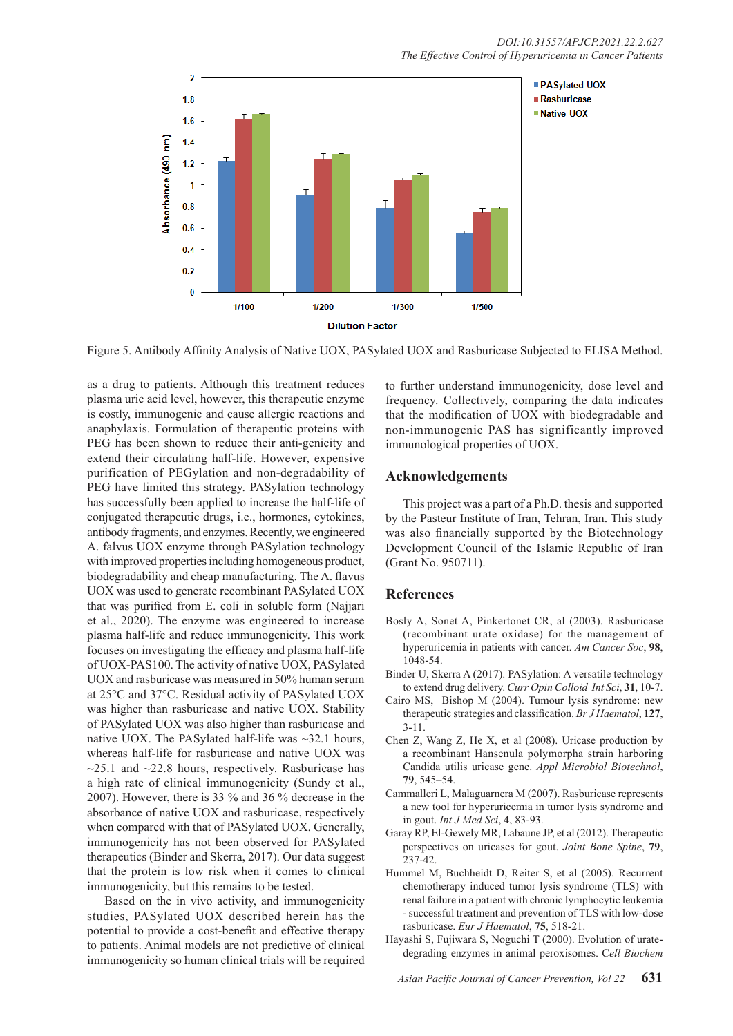

Figure 5. Antibody Affinity Analysis of Native UOX, PASylated UOX and Rasburicase Subjected to ELISA Method.

as a drug to patients. Although this treatment reduces plasma uric acid level, however, this therapeutic enzyme is costly, immunogenic and cause allergic reactions and anaphylaxis. Formulation of therapeutic proteins with PEG has been shown to reduce their anti-genicity and extend their circulating half-life. However, expensive purification of PEGylation and non-degradability of PEG have limited this strategy. PASylation technology has successfully been applied to increase the half-life of conjugated therapeutic drugs, i.e., hormones, cytokines, antibody fragments, and enzymes. Recently, we engineered A. falvus UOX enzyme through PASylation technology with improved properties including homogeneous product, biodegradability and cheap manufacturing. The A. flavus UOX was used to generate recombinant PASylated UOX that was purified from E. coli in soluble form (Najjari et al., 2020). The enzyme was engineered to increase plasma half-life and reduce immunogenicity. This work focuses on investigating the efficacy and plasma half-life of UOX-PAS100. The activity of native UOX, PASylated UOX and rasburicase was measured in 50% human serum at 25°C and 37°C. Residual activity of PASylated UOX was higher than rasburicase and native UOX. Stability of PASylated UOX was also higher than rasburicase and native UOX. The PASylated half-life was  $\sim$ 32.1 hours, whereas half-life for rasburicase and native UOX was  $\sim$ 25.1 and  $\sim$ 22.8 hours, respectively. Rasburicase has a high rate of clinical immunogenicity (Sundy et al., 2007). However, there is 33 % and 36 % decrease in the absorbance of native UOX and rasburicase, respectively when compared with that of PASylated UOX. Generally, immunogenicity has not been observed for PASylated therapeutics (Binder and Skerra, 2017). Our data suggest that the protein is low risk when it comes to clinical immunogenicity, but this remains to be tested.

Based on the in vivo activity, and immunogenicity studies, PASylated UOX described herein has the potential to provide a cost-benefit and effective therapy to patients. Animal models are not predictive of clinical immunogenicity so human clinical trials will be required to further understand immunogenicity, dose level and frequency. Collectively, comparing the data indicates that the modification of UOX with biodegradable and non-immunogenic PAS has significantly improved immunological properties of UOX.

## **Acknowledgements**

This project was a part of a Ph.D. thesis and supported by the Pasteur Institute of Iran, Tehran, Iran. This study was also financially supported by the Biotechnology Development Council of the Islamic Republic of Iran (Grant No. 950711).

## **References**

- Bosly A, Sonet A, Pinkertonet CR, al (2003). Rasburicase (recombinant urate oxidase) for the management of hyperuricemia in patients with cancer. *Am Cancer Soc*, **98**, 1048-54.
- Binder U, Skerra A (2017). PASylation: A versatile technology to extend drug delivery. *Curr Opin Colloid Int Sci*, **31**, 10-7.
- Cairo MS, Bishop M (2004). Tumour lysis syndrome: new therapeutic strategies and classification. *Br J Haematol*, **127**, 3-11.
- Chen Z, Wang Z, He X, et al (2008). Uricase production by a recombinant Hansenula polymorpha strain harboring Candida utilis uricase gene. *Appl Microbiol Biotechnol*, **79**, 545–54.
- Cammalleri L, Malaguarnera M (2007). Rasburicase represents a new tool for hyperuricemia in tumor lysis syndrome and in gout. *Int J Med Sci*, **4**, 83-93.
- Garay RP, El-Gewely MR, Labaune JP, et al (2012). Therapeutic perspectives on uricases for gout. *Joint Bone Spine*, **79**, 237-42.
- Hummel M, Buchheidt D, Reiter S, et al (2005). Recurrent chemotherapy induced tumor lysis syndrome (TLS) with renal failure in a patient with chronic lymphocytic leukemia - successful treatment and prevention of TLS with low-dose rasburicase. *Eur J Haematol*, **75**, 518-21.
- Hayashi S, Fujiwara S, Noguchi T (2000). Evolution of uratedegrading enzymes in animal peroxisomes. C*ell Biochem*